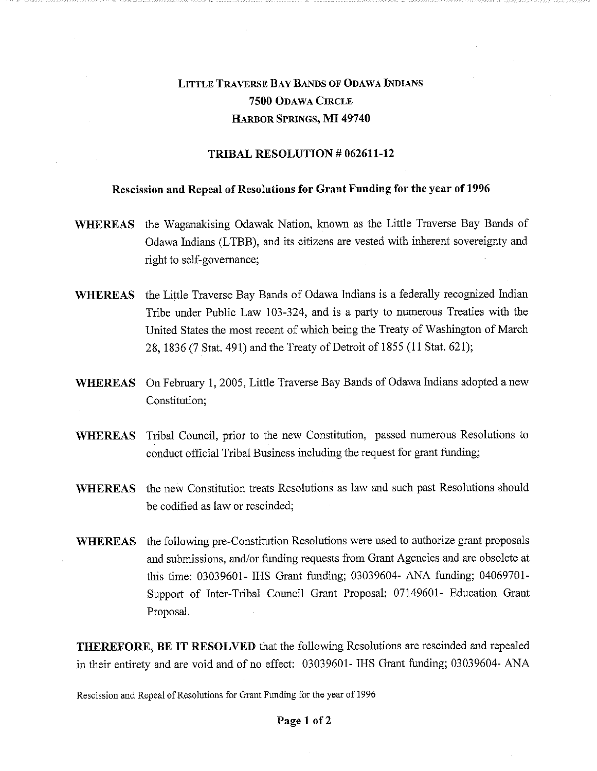# LITTLE TRAVERSE BAY BANDS OF ODAWA INDIANS **7500** ODAWA CIRCLE HARBOR SPRINGS, **MI 49740**

## **TRIBAL RESOLUTION** *#* **062611-12**

#### **Rescission and Repeal of Resolutions for Grant Funding for the year of 1996**

- **WHEREAS** the Waganakising Odawak Nation, known as the Little Traverse Bay Bands of Odawa Indians (LTBB), and its citizens are vested with inherent sovereignty and right to self-governance;
- **WHEREAS** the Little Traverse Bay Bands of Odawa Indians is a federally recognized Indian Tribe under Public Law 103-324, and is a party to numerous Treaties with the United States the most recent of which being the Treaty of Washington of March 28, 1836 (7 Stat. 491) and the Treaty of Detroit of 1855 (11 Stat. 621);
- **WHEREAS** On February 1, 2005, Little Traverse Bay Bands of Odawa Indians adopted a new Constitution;
- **WHEREAS** Tribal Council, prior to the new Constitution, passed numerous Resolutions to conduct official Tribal Business including the request for grant funding;
- **WHEREAS** the new Constitution treats Resolutions as law and such past Resolutions should be codified as law or rescinded;
- **WHEREAS** the following pre-Constitution Resolutions were used to authorize grant proposals and submissions, and/or funding requests from Grant Agencies and are obsolete at this time: 03039601- IHS Grant funding; 03039604- ANA funding; 04069701- Support of Inter-Tribal Council Grant Proposal; 07149601- Education Grant Proposal.

**THEREFORE, BE IT RESOLVED** that the following Resolutions are rescinded and repealed in their entirety and are void and of no effect: 03039601- IHS Grant funding; 03039604- ANA

Rescission and Repeal of Resolutions for Grant Funding for the year of 1996

#### **Page 1 of 2**